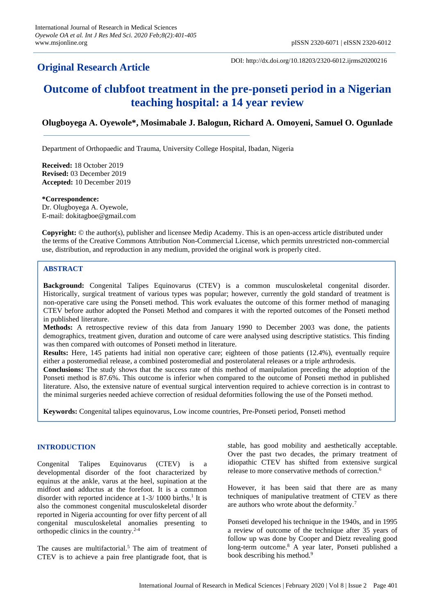## **Original Research Article**

DOI: http://dx.doi.org/10.18203/2320-6012.ijrms20200216

# **Outcome of clubfoot treatment in the pre-ponseti period in a Nigerian teaching hospital: a 14 year review**

## **Olugboyega A. Oyewole\*, Mosimabale J. Balogun, Richard A. Omoyeni, Samuel O. Ogunlade**

Department of Orthopaedic and Trauma, University College Hospital, Ibadan, Nigeria

**Received:** 18 October 2019 **Revised:** 03 December 2019 **Accepted:** 10 December 2019

**\*Correspondence:** Dr. Olugboyega A. Oyewole, E-mail: dokitagboe@gmail.com

**Copyright:** © the author(s), publisher and licensee Medip Academy. This is an open-access article distributed under the terms of the Creative Commons Attribution Non-Commercial License, which permits unrestricted non-commercial use, distribution, and reproduction in any medium, provided the original work is properly cited.

## **ABSTRACT**

**Background:** Congenital Talipes Equinovarus (CTEV) is a common musculoskeletal congenital disorder. Historically, surgical treatment of various types was popular; however, currently the gold standard of treatment is non-operative care using the Ponseti method. This work evaluates the outcome of this former method of managing CTEV before author adopted the Ponseti Method and compares it with the reported outcomes of the Ponseti method in published literature.

**Methods:** A retrospective review of this data from January 1990 to December 2003 was done, the patients demographics, treatment given, duration and outcome of care were analysed using descriptive statistics. This finding was then compared with outcomes of Ponseti method in literature.

**Results:** Here, 145 patients had initial non operative care; eighteen of those patients (12.4%), eventually require either a posteromedial release, a combined posteromedial and posterolateral releases or a triple arthrodesis.

**Conclusions:** The study shows that the success rate of this method of manipulation preceding the adoption of the Ponseti method is 87.6%. This outcome is inferior when compared to the outcome of Ponseti method in published literature. Also, the extensive nature of eventual surgical intervention required to achieve correction is in contrast to the minimal surgeries needed achieve correction of residual deformities following the use of the Ponseti method.

**Keywords:** Congenital talipes equinovarus, Low income countries, Pre-Ponseti period, Ponseti method

## **INTRODUCTION**

Congenital Talipes Equinovarus (CTEV) is a developmental disorder of the foot characterized by equinus at the ankle, varus at the heel, supination at the midfoot and adductus at the forefoot. It is a common disorder with reported incidence at 1-3/1000 births.<sup>1</sup> It is also the commonest congenital musculoskeletal disorder reported in Nigeria accounting for over fifty percent of all congenital musculoskeletal anomalies presenting to orthopedic clinics in the country.2-4

The causes are multifactorial.<sup>5</sup> The aim of treatment of CTEV is to achieve a pain free plantigrade foot, that is stable, has good mobility and aesthetically acceptable. Over the past two decades, the primary treatment of idiopathic CTEV has shifted from extensive surgical release to more conservative methods of correction.<sup>6</sup>

However, it has been said that there are as many techniques of manipulative treatment of CTEV as there are authors who wrote about the deformity.<sup>7</sup>

Ponseti developed his technique in the 1940s, and in 1995 a review of outcome of the technique after 35 years of follow up was done by Cooper and Dietz revealing good long-term outcome.<sup>8</sup> A year later, Ponseti published a book describing his method.<sup>9</sup>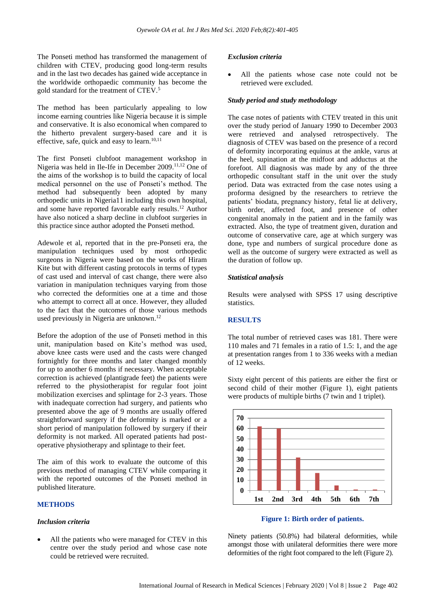The Ponseti method has transformed the management of children with CTEV, producing good long-term results and in the last two decades has gained wide acceptance in the worldwide orthopaedic community has become the gold standard for the treatment of CTEV.<sup>5</sup>

The method has been particularly appealing to low income earning countries like Nigeria because it is simple and conservative. It is also economical when compared to the hitherto prevalent surgery-based care and it is effective, safe, quick and easy to learn.<sup>10,11</sup>

The first Ponseti clubfoot management workshop in Nigeria was held in Ile-Ife in December 2009.<sup>11,12</sup> One of the aims of the workshop is to build the capacity of local medical personnel on the use of Ponseti's method. The method had subsequently been adopted by many orthopedic units in Nigeria11 including this own hospital, and some have reported favorable early results. <sup>12</sup> Author have also noticed a sharp decline in clubfoot surgeries in this practice since author adopted the Ponseti method.

Adewole et al, reported that in the pre-Ponseti era, the manipulation techniques used by most orthopedic surgeons in Nigeria were based on the works of Hiram Kite but with different casting protocols in terms of types of cast used and interval of cast change, there were also variation in manipulation techniques varying from those who corrected the deformities one at a time and those who attempt to correct all at once. However, they alluded to the fact that the outcomes of those various methods used previously in Nigeria are unknown. 12

Before the adoption of the use of Ponseti method in this unit, manipulation based on Kite's method was used, above knee casts were used and the casts were changed fortnightly for three months and later changed monthly for up to another 6 months if necessary. When acceptable correction is achieved (plantigrade feet) the patients were referred to the physiotherapist for regular foot joint mobilization exercises and splintage for 2-3 years. Those with inadequate correction had surgery, and patients who presented above the age of 9 months are usually offered straightforward surgery if the deformity is marked or a short period of manipulation followed by surgery if their deformity is not marked. All operated patients had postoperative physiotherapy and splintage to their feet.

The aim of this work to evaluate the outcome of this previous method of managing CTEV while comparing it with the reported outcomes of the Ponseti method in published literature.

## **METHODS**

#### *Inclusion criteria*

All the patients who were managed for CTEV in this centre over the study period and whose case note could be retrieved were recruited.

## *Exclusion criteria*

All the patients whose case note could not be retrieved were excluded.

## *Study period and study methodology*

The case notes of patients with CTEV treated in this unit over the study period of January 1990 to December 2003 were retrieved and analysed retrospectively. The diagnosis of CTEV was based on the presence of a record of deformity incorporating equinus at the ankle, varus at the heel, supination at the midfoot and adductus at the forefoot. All diagnosis was made by any of the three orthopedic consultant staff in the unit over the study period. Data was extracted from the case notes using a proforma designed by the researchers to retrieve the patients' biodata, pregnancy history, fetal lie at delivery, birth order, affected foot, and presence of other congenital anomaly in the patient and in the family was extracted. Also, the type of treatment given, duration and outcome of conservative care, age at which surgery was done, type and numbers of surgical procedure done as well as the outcome of surgery were extracted as well as the duration of follow up.

## *Statistical analysis*

Results were analysed with SPSS 17 using descriptive statistics.

#### **RESULTS**

The total number of retrieved cases was 181. There were 110 males and 71 females in a ratio of 1.5: 1, and the age at presentation ranges from 1 to 336 weeks with a median of 12 weeks.

Sixty eight percent of this patients are either the first or second child of their mother (Figure 1), eight patients were products of multiple births (7 twin and 1 triplet).



**Figure 1: Birth order of patients.**

Ninety patients (50.8%) had bilateral deformities, while amongst those with unilateral deformities there were more deformities of the right foot compared to the left (Figure 2).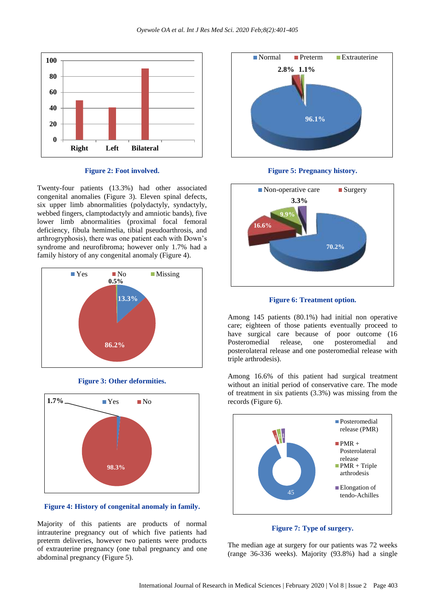

#### **Figure 2: Foot involved.**

Twenty-four patients (13.3%) had other associated congenital anomalies (Figure 3). Eleven spinal defects, six upper limb abnormalities (polydactyly, syndactyly, webbed fingers, clamptodactyly and amniotic bands), five lower limb abnormalities (proximal focal femoral deficiency, fibula hemimelia, tibial pseudoarthrosis, and arthrogryphosis), there was one patient each with Down's syndrome and neurofibroma; however only 1.7% had a family history of any congenital anomaly (Figure 4).



**Figure 3: Other deformities.**



**Figure 4: History of congenital anomaly in family.**

Majority of this patients are products of normal intrauterine pregnancy out of which five patients had preterm deliveries, however two patients were products of extrauterine pregnancy (one tubal pregnancy and one abdominal pregnancy (Figure 5).









Among 145 patients (80.1%) had initial non operative care; eighteen of those patients eventually proceed to have surgical care because of poor outcome  $(16)$ Posteromedial release, one posteromedial and posterolateral release and one posteromedial release with triple arthrodesis).

Among 16.6% of this patient had surgical treatment without an initial period of conservative care. The mode of treatment in six patients (3.3%) was missing from the records (Figure 6).



**Figure 7: Type of surgery.**

The median age at surgery for our patients was 72 weeks (range 36-336 weeks). Majority (93.8%) had a single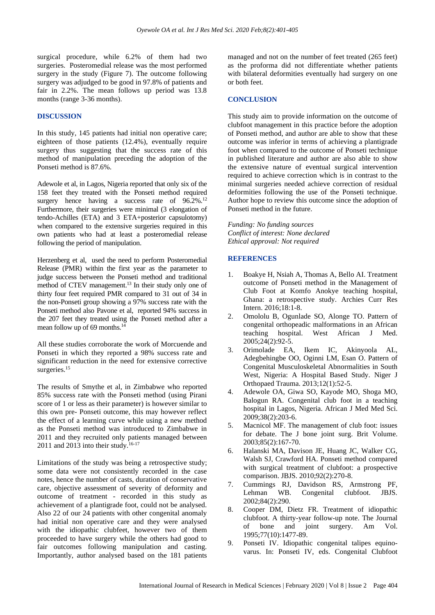surgical procedure, while 6.2% of them had two surgeries. Posteromedial release was the most performed surgery in the study (Figure 7). The outcome following surgery was adjudged to be good in 97.8% of patients and fair in 2.2%. The mean follows up period was 13.8 months (range 3-36 months).

### **DISCUSSION**

In this study, 145 patients had initial non operative care; eighteen of those patients (12.4%), eventually require surgery thus suggesting that the success rate of this method of manipulation preceding the adoption of the Ponseti method is 87.6%.

Adewole et al, in Lagos, Nigeria reported that only six of the 158 feet they treated with the Ponseti method required surgery hence having a success rate of  $96.2\%$ .<sup>12</sup> Furthermore, their surgeries were minimal (3 elongation of tendo-Achilles (ETA) and 3 ETA+posterior capsulotomy) when compared to the extensive surgeries required in this own patients who had at least a posteromedial release following the period of manipulation.

Herzenberg et al, used the need to perform Posteromedial Release (PMR) within the first year as the parameter to judge success between the Ponseti method and traditional method of CTEV management.<sup>13</sup> In their study only one of thirty four feet required PMR compared to 31 out of 34 in the non-Ponseti group showing a 97% success rate with the Ponseti method also Pavone et al, reported 94% success in the 207 feet they treated using the Ponseti method after a mean follow up of 69 months.<sup>14</sup>

All these studies corroborate the work of Morcuende and Ponseti in which they reported a 98% success rate and significant reduction in the need for extensive corrective surgeries.<sup>15</sup>

The results of Smythe et al, in Zimbabwe who reported 85% success rate with the Ponseti method (using Pirani score of 1 or less as their parameter) is however similar to this own pre- Ponseti outcome, this may however reflect the effect of a learning curve while using a new method as the Ponseti method was introduced to Zimbabwe in 2011 and they recruited only patients managed between 2011 and 2013 into their study.<sup>16-17</sup>

Limitations of the study was being a retrospective study; some data were not consistently recorded in the case notes, hence the number of casts, duration of conservative care, objective assessment of severity of deformity and outcome of treatment - recorded in this study as achievement of a plantigrade foot, could not be analysed. Also 22 of our 24 patients with other congenital anomaly had initial non operative care and they were analysed with the idiopathic clubfeet, however two of them proceeded to have surgery while the others had good to fair outcomes following manipulation and casting. Importantly, author analysed based on the 181 patients managed and not on the number of feet treated (265 feet) as the proforma did not differentiate whether patients with bilateral deformities eventually had surgery on one or both feet.

## **CONCLUSION**

This study aim to provide information on the outcome of clubfoot management in this practice before the adoption of Ponseti method, and author are able to show that these outcome was inferior in terms of achieving a plantigrade foot when compared to the outcome of Ponseti technique in published literature and author are also able to show the extensive nature of eventual surgical intervention required to achieve correction which is in contrast to the minimal surgeries needed achieve correction of residual deformities following the use of the Ponseti technique. Author hope to review this outcome since the adoption of Ponseti method in the future.

*Funding: No funding sources Conflict of interest: None declared Ethical approval: Not required*

## **REFERENCES**

- 1. Boakye H, Nsiah A, Thomas A, Bello AI. Treatment outcome of Ponseti method in the Management of Club Foot at Komfo Anokye teaching hospital, Ghana: a retrospective study. Archies Curr Res Intern. 2016;18:1-8.
- 2. Omololu B, Ogunlade SO, Alonge TO. Pattern of congenital orthopeadic malformations in an African teaching hospital. West African J Med.  $2005;24(2):92-5.$
- 3. Orimolade EA, Ikem IC, Akinyoola AL, Adegbehingbe OO, Oginni LM, Esan O. Pattern of Congenital Musculoskeletal Abnormalities in South West, Nigeria: A Hospital Based Study. Niger J Orthopaed Trauma. 2013;12(1):52-5.
- 4. Adewole OA, Giwa SO, Kayode MO, Shoga MO, Balogun RA. Congenital club foot in a teaching hospital in Lagos, Nigeria. African J Med Med Sci. 2009;38(2):203-6.
- 5. Macnicol MF. The management of club foot: issues for debate. The J bone joint surg. Brit Volume. 2003;85(2):167-70.
- 6. Halanski MA, Davison JE, Huang JC, Walker CG, Walsh SJ, Crawford HA. Ponseti method compared with surgical treatment of clubfoot: a prospective comparison. JBJS. 2010;92(2):270-8.
- 7. Cummings RJ, Davidson RS, Armstrong PF, Lehman WB. Congenital clubfoot. JBJS. 2002;84(2):290.
- 8. Cooper DM, Dietz FR. Treatment of idiopathic clubfoot. A thirty-year follow-up note. The Journal of bone and joint surgery. Am Vol. 1995;77(10):1477-89.
- 9. Ponseti IV. Idiopathic congenital talipes equinovarus. In: Ponseti IV, eds. Congenital Clubfoot